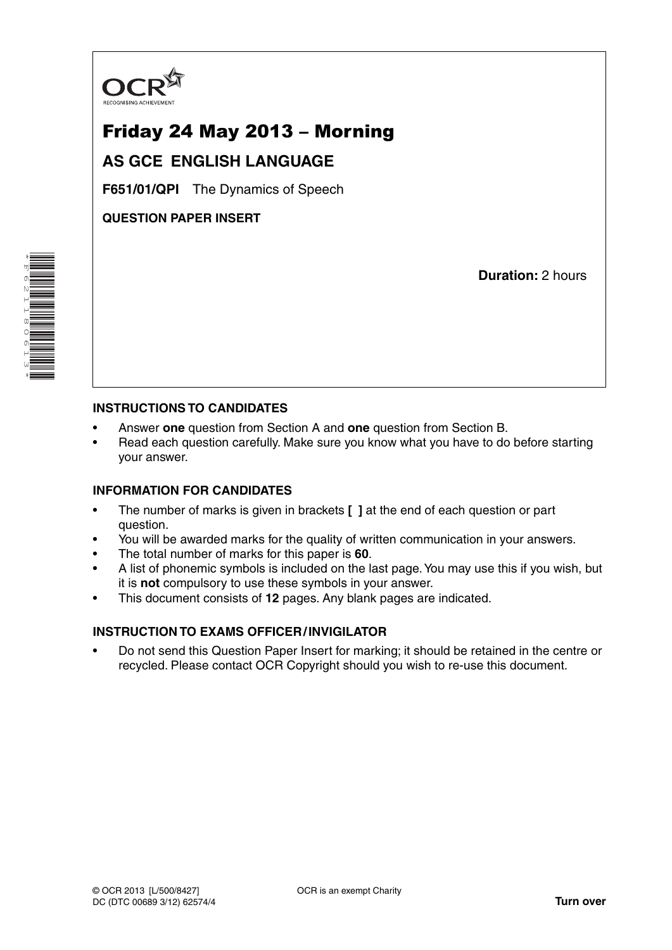

# Friday 24 May 2013 – Morning

## **AS GCE ENGLISH LANGUAGE**

**F651/01/QPI** The Dynamics of Speech

**QUESTION PAPER INSERT**

**Duration:** 2 hours



### **INSTRUCTIONS TO CANDIDATES**

- Answer **one** question from Section A and **one** question from Section B.
- Read each question carefully. Make sure you know what you have to do before starting your answer.

#### **INFORMATION FOR CANDIDATES**

- The number of marks is given in brackets **[ ]** at the end of each question or part question.
- You will be awarded marks for the quality of written communication in your answers.
- The total number of marks for this paper is **60**.
- A list of phonemic symbols is included on the last page. You may use this if you wish, but it is **not** compulsory to use these symbols in your answer.
- This document consists of **12** pages. Any blank pages are indicated.

#### **INSTRUCTION TO EXAMS OFFICER / INVIGILATOR**

• Do not send this Question Paper Insert for marking; it should be retained in the centre or recycled. Please contact OCR Copyright should you wish to re-use this document.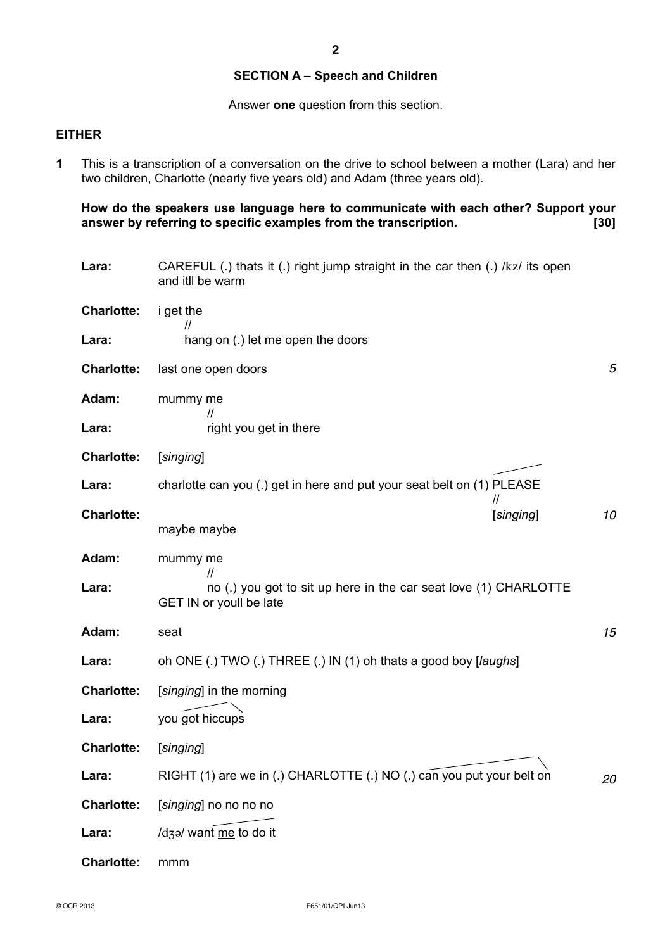#### **SECTION A – Speech and Children**

Answer **one** question from this section.

#### **EITHER**

**1** This is a transcription of a conversation on the drive to school between a mother (Lara) and her two children, Charlotte (nearly five years old) and Adam (three years old).

 **How do the speakers use language here to communicate with each other? Support your answer by referring to specific examples from the transcription. [30]**

| Lara:             | CAREFUL (.) thats it (.) right jump straight in the car then (.) /kz/ its open<br>and itll be warm |    |
|-------------------|----------------------------------------------------------------------------------------------------|----|
| <b>Charlotte:</b> | <i>i</i> get the<br>$\mathcal{U}$                                                                  |    |
| Lara:             | hang on (.) let me open the doors                                                                  |    |
| <b>Charlotte:</b> | last one open doors                                                                                | 5  |
| Adam:             | mummy me                                                                                           |    |
| Lara:             | $^{\prime\prime}$<br>right you get in there                                                        |    |
| <b>Charlotte:</b> | [singing]                                                                                          |    |
| Lara:             | charlotte can you (.) get in here and put your seat belt on (1) PLEASE                             |    |
| <b>Charlotte:</b> | $^{\prime\prime}$<br>[singing]<br>maybe maybe                                                      | 10 |
| Adam:             | mummy me<br>$^{\prime\prime}$                                                                      |    |
| Lara:             | no (.) you got to sit up here in the car seat love (1) CHARLOTTE<br>GET IN or youll be late        |    |
| Adam:             | seat                                                                                               | 15 |
| Lara:             | oh ONE (.) TWO (.) THREE (.) IN (1) oh thats a good boy [laughs]                                   |    |
| <b>Charlotte:</b> | [singing] in the morning                                                                           |    |
| Lara:             | you got hiccups                                                                                    |    |
| <b>Charlotte:</b> | [singing]                                                                                          |    |
| Lara:             | RIGHT (1) are we in (.) CHARLOTTE (.) NO (.) can you put your belt on                              | 20 |
| <b>Charlotte:</b> | [singing] no no no no                                                                              |    |
| Lara:             | /dza/ want me to do it                                                                             |    |
| <b>Charlotte:</b> | mmm                                                                                                |    |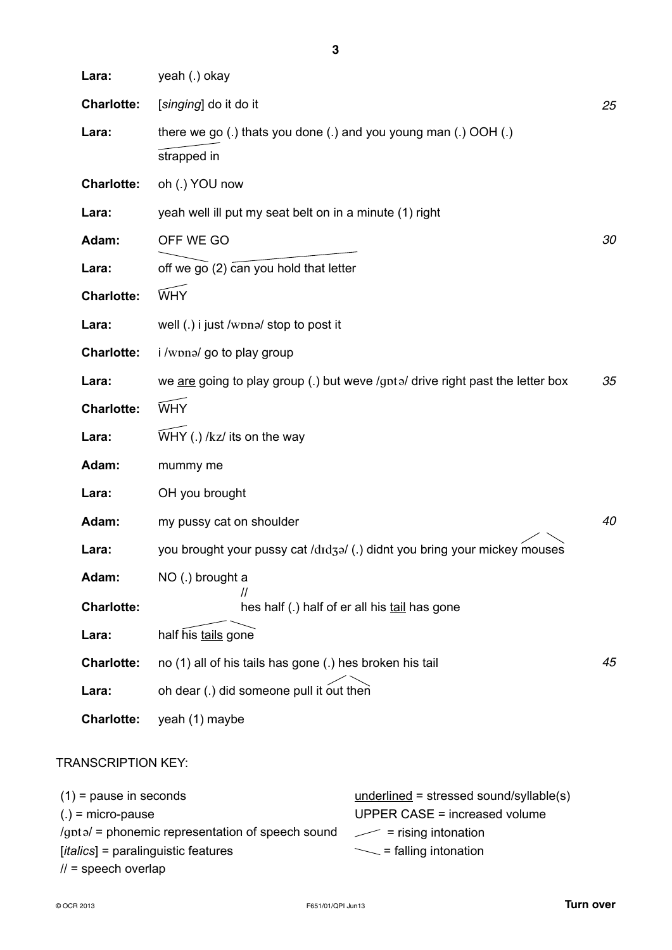| Lara:             | yeah (.) okay                                                                   |    |
|-------------------|---------------------------------------------------------------------------------|----|
| <b>Charlotte:</b> | [singing] do it do it                                                           | 25 |
| Lara:             | there we go (.) thats you done (.) and you young man (.) OOH (.)<br>strapped in |    |
| <b>Charlotte:</b> | oh (.) YOU now                                                                  |    |
| Lara:             | yeah well ill put my seat belt on in a minute (1) right                         |    |
| Adam:             | OFF WE GO                                                                       | 30 |
| Lara:             | off we go (2) can you hold that letter                                          |    |
| <b>Charlotte:</b> | <b>WHY</b>                                                                      |    |
| Lara:             | well (.) i just /wpna/ stop to post it                                          |    |
| <b>Charlotte:</b> | i /wpna/ go to play group                                                       |    |
| Lara:             | we are going to play group (.) but weve /gpta/ drive right past the letter box  | 35 |
| <b>Charlotte:</b> | <b>WHY</b>                                                                      |    |
| Lara:             | $WHY$ (.) /kz/ its on the way                                                   |    |
| Adam:             | mummy me                                                                        |    |
| Lara:             | OH you brought                                                                  |    |
| Adam:             | my pussy cat on shoulder                                                        | 40 |
| Lara:             | you brought your pussy cat /didʒə/ (.) didnt you bring your mickey mouses       |    |
| Adam:             | NO (.) brought a                                                                |    |
| <b>Charlotte:</b> | 11<br>hes half (.) half of er all his tail has gone                             |    |
| Lara:             | half his tails gone                                                             |    |
| <b>Charlotte:</b> | no (1) all of his tails has gone (.) hes broken his tail                        | 45 |
| Lara:             | oh dear (.) did someone pull it out then                                        |    |
| <b>Charlotte:</b> | yeah (1) maybe                                                                  |    |

### TRANSCRIPTION KEY:

| $(1)$ = pause in seconds                                                         | $underlined$ = stressed sound/syllable(s) |
|----------------------------------------------------------------------------------|-------------------------------------------|
| $(.) = micro-pause$                                                              | UPPER CASE = increased volume             |
| $q$ /gpt a/ = phonemic representation of speech sound $\sim$ = rising intonation |                                           |
| $\left[t\right]$ = paralinguistic features                                       | $\sim$ = falling intonation               |
| $\frac{1}{2}$ = speech overlap                                                   |                                           |

© OCR 2013 F651/01/QPI Jun13 **Turn over**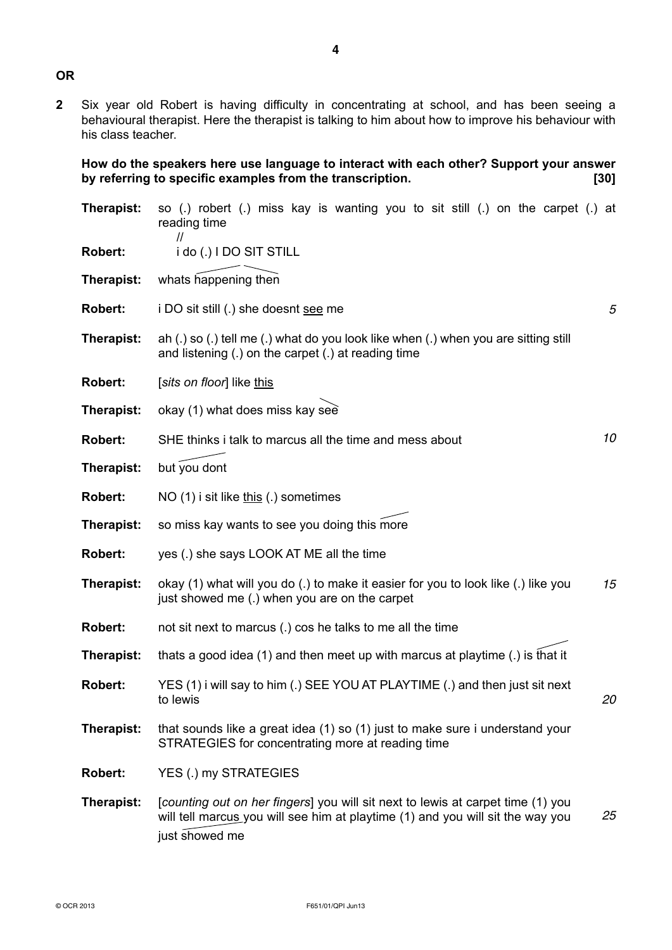**2** Six year old Robert is having difficulty in concentrating at school, and has been seeing a behavioural therapist. Here the therapist is talking to him about how to improve his behaviour with his class teacher.

 **How do the speakers here use language to interact with each other? Support your answer by referring to specific examples from the transcription. [30]**

| Therapist:     | so (.) robert (.) miss kay is wanting you to sit still (.) on the carpet (.) at<br>reading time<br>11                                                                               |    |
|----------------|-------------------------------------------------------------------------------------------------------------------------------------------------------------------------------------|----|
| <b>Robert:</b> | i do (.) I DO SIT STILL                                                                                                                                                             |    |
| Therapist:     | whats happening then                                                                                                                                                                |    |
| <b>Robert:</b> | i DO sit still (.) she doesnt see me                                                                                                                                                | 5  |
| Therapist:     | ah (.) so (.) tell me (.) what do you look like when (.) when you are sitting still<br>and listening $(.)$ on the carpet $(.)$ at reading time                                      |    |
| <b>Robert:</b> | [sits on floor] like this                                                                                                                                                           |    |
| Therapist:     | okay (1) what does miss kay see                                                                                                                                                     |    |
| <b>Robert:</b> | SHE thinks i talk to marcus all the time and mess about                                                                                                                             | 10 |
| Therapist:     | but you dont                                                                                                                                                                        |    |
| <b>Robert:</b> | NO (1) i sit like this (.) sometimes                                                                                                                                                |    |
| Therapist:     | so miss kay wants to see you doing this more                                                                                                                                        |    |
| <b>Robert:</b> | yes (.) she says LOOK AT ME all the time                                                                                                                                            |    |
| Therapist:     | okay (1) what will you do (.) to make it easier for you to look like (.) like you<br>just showed me (.) when you are on the carpet                                                  | 15 |
| <b>Robert:</b> | not sit next to marcus (.) cos he talks to me all the time                                                                                                                          |    |
| Therapist:     | thats a good idea (1) and then meet up with marcus at playtime (.) is that it                                                                                                       |    |
| <b>Robert:</b> | YES (1) i will say to him (.) SEE YOU AT PLAYTIME (.) and then just sit next<br>to lewis                                                                                            | 20 |
| Therapist:     | that sounds like a great idea (1) so (1) just to make sure i understand your<br>STRATEGIES for concentrating more at reading time                                                   |    |
| <b>Robert:</b> | YES (.) my STRATEGIES                                                                                                                                                               |    |
| Therapist:     | [counting out on her fingers] you will sit next to lewis at carpet time (1) you<br>will tell marcus you will see him at playtime (1) and you will sit the way you<br>just showed me | 25 |

**OR**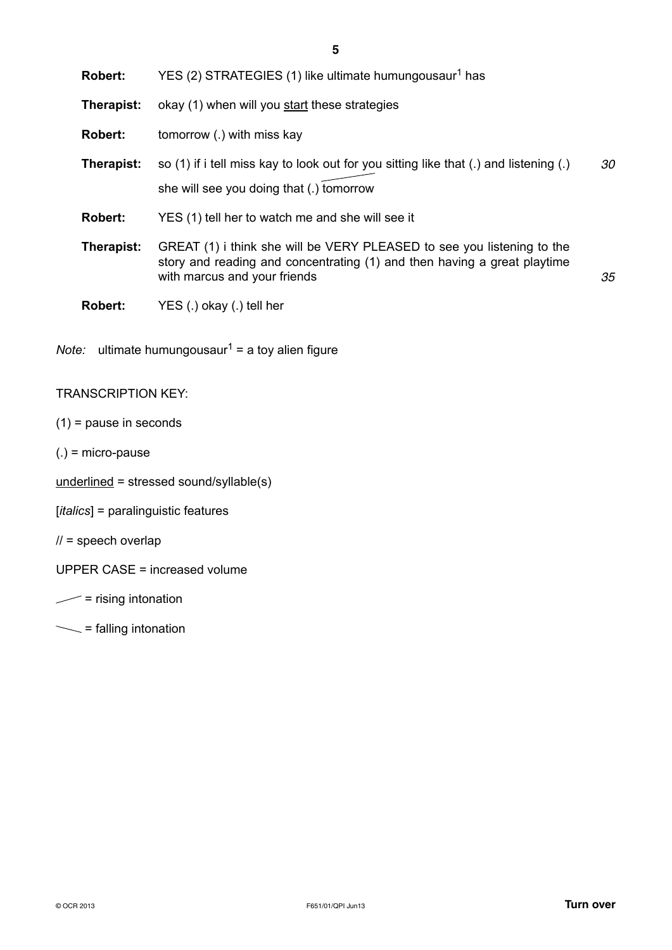**Robert:** YES (2) STRATEGIES (1) like ultimate humungousaur<sup>1</sup> has

**Therapist:** okay (1) when will you start these strategies

**Robert:** tomorrow (.) with miss kay

**Therapist:** so (1) if i tell miss kay to look out for you sitting like that (.) and listening (.) she will see you doing that (.) tomorrow *30*

**Robert:** YES (1) tell her to watch me and she will see it

- **Therapist:** GREAT (1) i think she will be VERY PLEASED to see you listening to the story and reading and concentrating (1) and then having a great playtime with marcus and your friends
- **Robert:** YES (.) okay (.) tell her

*Note:* ultimate humungousaur<sup>1</sup> = a toy alien figure

#### TRANSCRIPTION KEY:

(1) = pause in seconds

- $(.)$  = micro-pause
- underlined = stressed sound/syllable(s)

[*italics*] = paralinguistic features

- $1/1$  = speech overlap
- UPPER CASE = increased volume
- $=$  rising intonation
- $\sim$  = falling intonation

*35*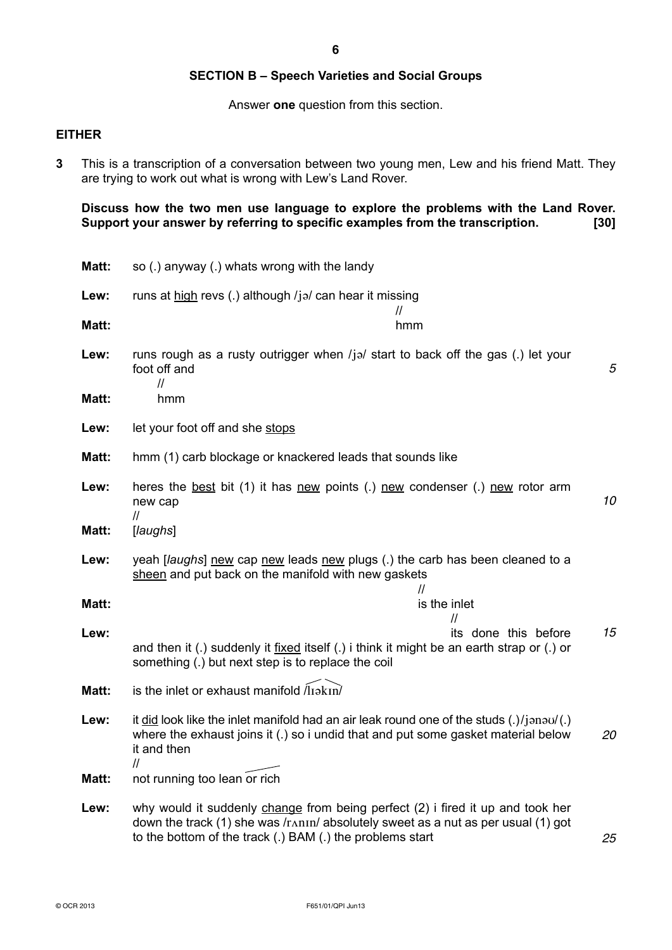#### **SECTION B – Speech Varieties and Social Groups**

Answer **one** question from this section.

#### **EITHER**

**3** This is a transcription of a conversation between two young men, Lew and his friend Matt. They are trying to work out what is wrong with Lew's Land Rover.

 **Discuss how the two men use language to explore the problems with the Land Rover. Support your answer by referring to specific examples from the transcription. [30]**

| Matt: | so (.) anyway (.) whats wrong with the landy                                                                                                                                                                                                     |    |
|-------|--------------------------------------------------------------------------------------------------------------------------------------------------------------------------------------------------------------------------------------------------|----|
| Lew:  | runs at high revs (.) although /ja/ can hear it missing<br>$^{\prime\prime}$                                                                                                                                                                     |    |
| Matt: | hmm                                                                                                                                                                                                                                              |    |
| Lew:  | runs rough as a rusty outrigger when /jo/ start to back off the gas (.) let your<br>foot off and<br>$\mathcal{U}$                                                                                                                                | 5  |
| Matt: | hmm                                                                                                                                                                                                                                              |    |
| Lew:  | let your foot off and she stops                                                                                                                                                                                                                  |    |
| Matt: | hmm (1) carb blockage or knackered leads that sounds like                                                                                                                                                                                        |    |
| Lew:  | heres the <u>best</u> bit (1) it has <u>new</u> points (.) new condenser (.) new rotor arm<br>new cap<br>$\mathcal{U}$                                                                                                                           | 10 |
| Matt: | [laughs]                                                                                                                                                                                                                                         |    |
| Lew:  | yeah [laughs] new cap new leads new plugs (.) the carb has been cleaned to a<br>sheen and put back on the manifold with new gaskets                                                                                                              |    |
| Matt: | is the inlet<br>$^{\prime\prime}$                                                                                                                                                                                                                |    |
| Lew:  | its done this before<br>and then it (.) suddenly it fixed itself (.) i think it might be an earth strap or (.) or<br>something (.) but next step is to replace the coil                                                                          | 15 |
| Matt: | is the inlet or exhaust manifold <i>I</i> IIakin                                                                                                                                                                                                 |    |
| Lew:  | it did look like the inlet manifold had an air leak round one of the studs (.)/janau/(.)<br>where the exhaust joins it (.) so i undid that and put some gasket material below<br>it and then<br>$\mu$                                            | 20 |
| Matt: | not running too lean or rich                                                                                                                                                                                                                     |    |
| Lew:  | why would it suddenly change from being perfect (2) i fired it up and took her<br>down the track (1) she was $/r_{\rm \Lambda n1n}/$ absolutely sweet as a nut as per usual (1) got<br>to the bottom of the track (.) BAM (.) the problems start | 25 |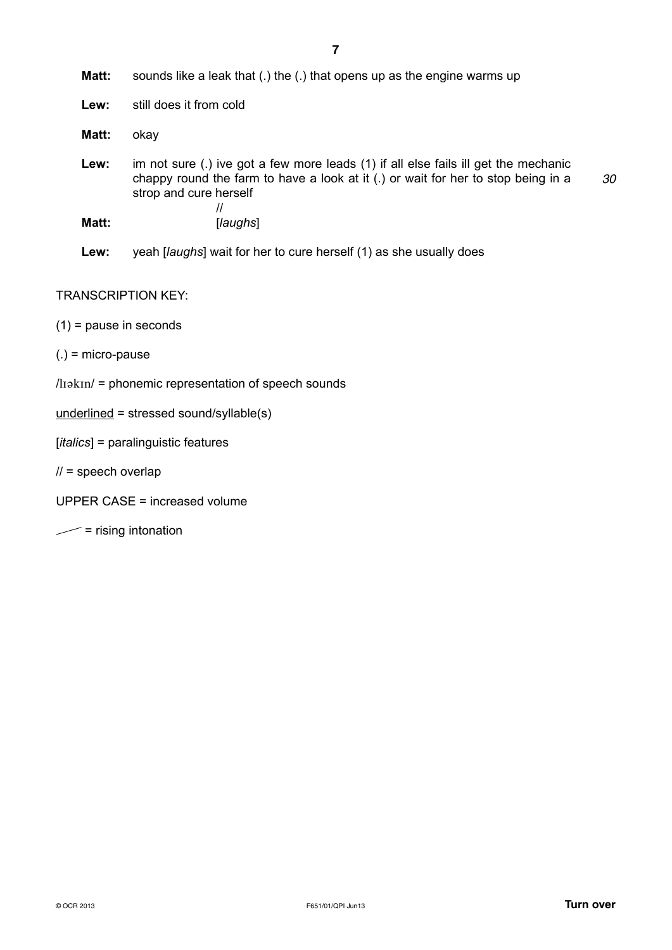| Matt:        | sounds like a leak that (.) the (.) that opens up as the engine warms up                                                                                                                                 |    |
|--------------|----------------------------------------------------------------------------------------------------------------------------------------------------------------------------------------------------------|----|
| Lew:         | still does it from cold                                                                                                                                                                                  |    |
| <b>Matt:</b> | okay                                                                                                                                                                                                     |    |
| Lew:         | im not sure (.) ive got a few more leads (1) if all else fails ill get the mechanic<br>chappy round the farm to have a look at it (.) or wait for her to stop being in a<br>strop and cure herself<br>// | 30 |
| Matt:        | [laughs]                                                                                                                                                                                                 |    |
| Lew:         | yeah [laughs] wait for her to cure herself (1) as she usually does                                                                                                                                       |    |

**7**

#### TRANSCRIPTION KEY:

#### (1) = pause in seconds

- (.) = micro-pause
- /liəkin/ = phonemic representation of speech sounds

#### underlined = stressed sound/syllable(s)

### [*italics*] = paralinguistic features

 $11$  = speech overlap

UPPER CASE = increased volume

 $=$  rising intonation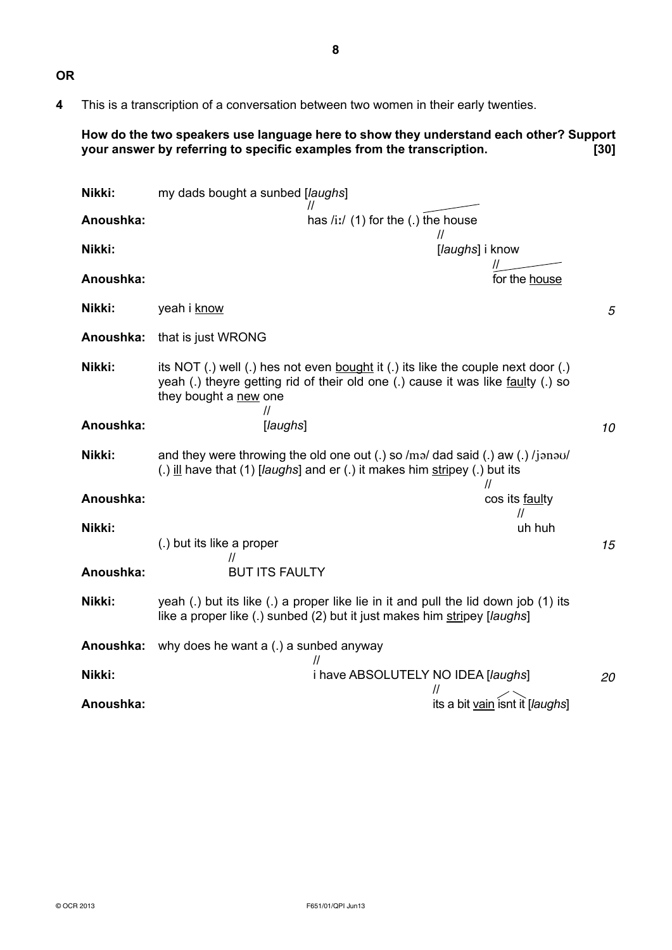**OR**

**4** This is a transcription of a conversation between two women in their early twenties.

 **How do the two speakers use language here to show they understand each other? Support your answer by referring to specific examples from the transcription. [30]**

**Nikki:** my dads bought a sunbed [*laughs*]  $\frac{1}{\sqrt{2}}$ **Anoushka:** has /iː/ (1) for the (.) the house // **Nikki:** [*laughs*] i know // **Anoushka: for the house** *for the house for the house for the house* **Nikki:** yeah i know **Anoushka:** that is just WRONG **Nikki:** its NOT (.) well (.) hes not even bought it (.) its like the couple next door (.) yeah (.) theyre getting rid of their old one (.) cause it was like faulty (.) so they bought a new one // **Anoushka:** [*laughs*] **Nikki:** and they were throwing the old one out (.) so /mə/ dad said (.) aw (.) /jənəυ/ (.) ill have that (1) [*laughs*] and er (.) it makes him stripey (.) but its // **Anoushka:** cos its faulty // **Nikki:** uh huh (.) but its like a proper // **Anoushka:** BUT ITS FAULTY **Nikki:** yeah (.) but its like (.) a proper like lie in it and pull the lid down job (1) its like a proper like (.) sunbed (2) but it just makes him stripey [*laughs*] **Anoushka:** why does he want a (.) a sunbed anyway // **Nikki:** i have ABSOLUTELY NO IDEA [*laughs*] // **Anoushka:** its a bit vain isnt it [*laughs*] *5 10 15 20*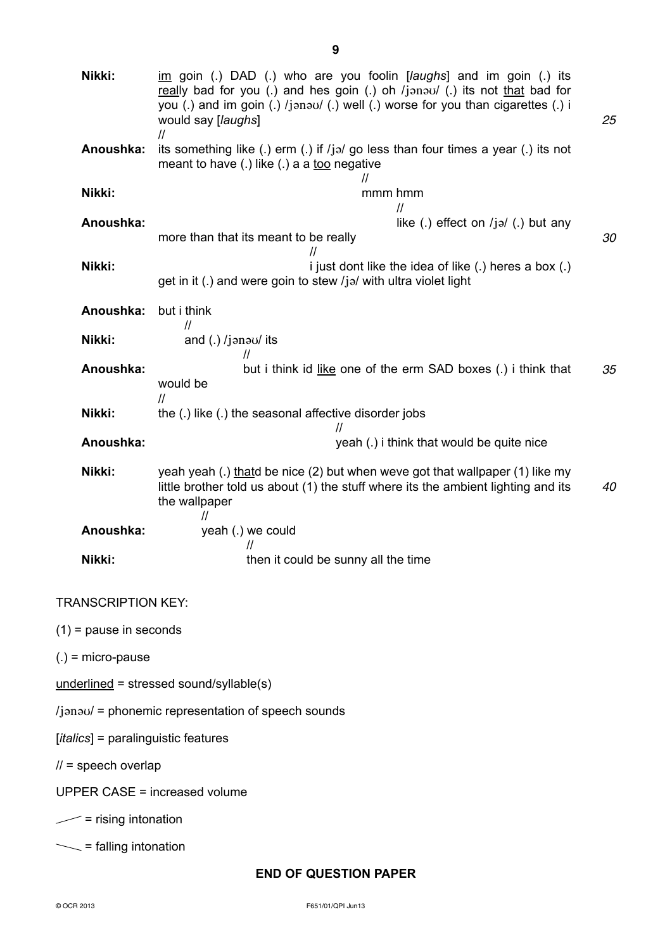| Nikki:                                                                            | im goin (.) DAD (.) who are you foolin [laughs] and im goin (.) its<br>really bad for you (.) and hes goin (.) oh /janau/ (.) its not that bad for<br>you (.) and im goin (.) /janau/ (.) well (.) worse for you than cigarettes (.) i<br>would say [laughs]<br>$\mathcal{U}$ | 25 |  |
|-----------------------------------------------------------------------------------|-------------------------------------------------------------------------------------------------------------------------------------------------------------------------------------------------------------------------------------------------------------------------------|----|--|
| Anoushka:                                                                         | its something like (.) erm (.) if /jo/ go less than four times a year (.) its not<br>meant to have (.) like (.) a a too negative                                                                                                                                              |    |  |
| Nikki:                                                                            | mmm hmm                                                                                                                                                                                                                                                                       |    |  |
| Anoushka:                                                                         | $\prime\prime$<br>like (.) effect on $/j \rightarrow$ (.) but any                                                                                                                                                                                                             |    |  |
|                                                                                   | more than that its meant to be really<br>$\mathcal{U}$                                                                                                                                                                                                                        | 30 |  |
| Nikki:                                                                            | i just dont like the idea of like (.) heres a box (.)<br>get in it (.) and were goin to stew /jo/ with ultra violet light                                                                                                                                                     |    |  |
| Anoushka:                                                                         | but i think                                                                                                                                                                                                                                                                   |    |  |
| Nikki:                                                                            | $\mathcal{U}$<br>and (.) / $j$ anau/ its                                                                                                                                                                                                                                      |    |  |
| Anoushka:                                                                         | $\prime\prime$<br>but i think id like one of the erm SAD boxes (.) i think that<br>would be<br>$\mathcal{U}$                                                                                                                                                                  | 35 |  |
| Nikki:                                                                            | the (.) like (.) the seasonal affective disorder jobs                                                                                                                                                                                                                         |    |  |
| Anoushka:                                                                         | $^{\prime\prime}$<br>yeah (.) i think that would be quite nice                                                                                                                                                                                                                |    |  |
| Nikki:                                                                            | yeah yeah (.) thatd be nice (2) but when weve got that wallpaper (1) like my<br>little brother told us about (1) the stuff where its the ambient lighting and its<br>the wallpaper                                                                                            | 40 |  |
| Anoushka:                                                                         | yeah (.) we could                                                                                                                                                                                                                                                             |    |  |
| Nikki:                                                                            | then it could be sunny all the time                                                                                                                                                                                                                                           |    |  |
| <b>TRANSCRIPTION KEY:</b>                                                         |                                                                                                                                                                                                                                                                               |    |  |
| $(1)$ = pause in seconds                                                          |                                                                                                                                                                                                                                                                               |    |  |
| $(.) = micro-pause$                                                               |                                                                                                                                                                                                                                                                               |    |  |
| $underlined$ = stressed sound/syllable(s)                                         |                                                                                                                                                                                                                                                                               |    |  |
| $/j$ <sub>j</sub> $j$ <sub>2</sub> $j$ = phonemic representation of speech sounds |                                                                                                                                                                                                                                                                               |    |  |
| $[talics]$ = paralinguistic features                                              |                                                                                                                                                                                                                                                                               |    |  |
|                                                                                   | $\frac{1}{2}$ = speech overlap                                                                                                                                                                                                                                                |    |  |
|                                                                                   | UPPER CASE = increased volume                                                                                                                                                                                                                                                 |    |  |
| $\epsilon$ = rising intonation                                                    |                                                                                                                                                                                                                                                                               |    |  |
| $\sim$ = falling intonation                                                       |                                                                                                                                                                                                                                                                               |    |  |

**9**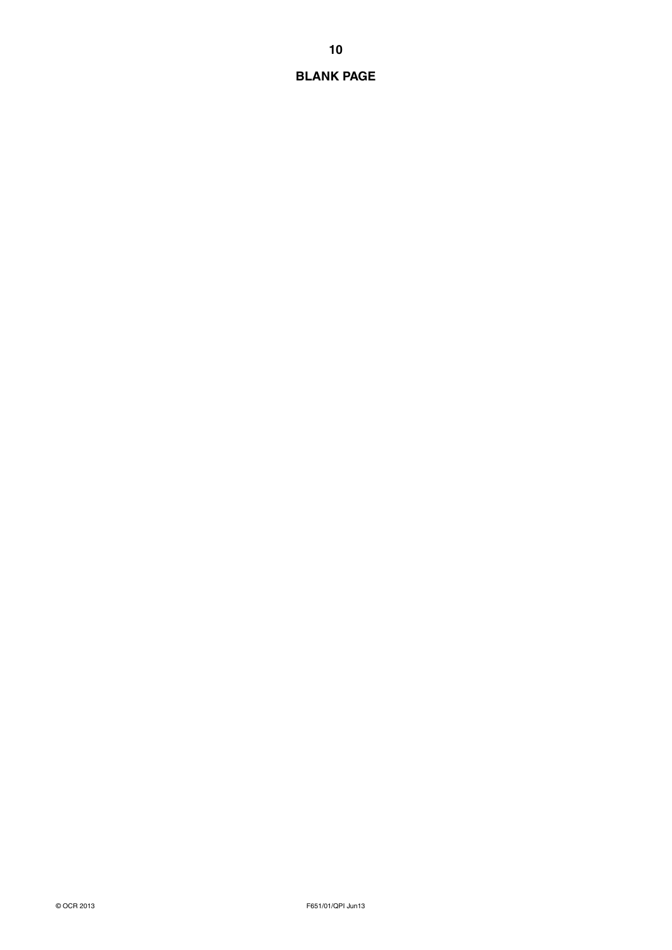### **BLANK PAGE**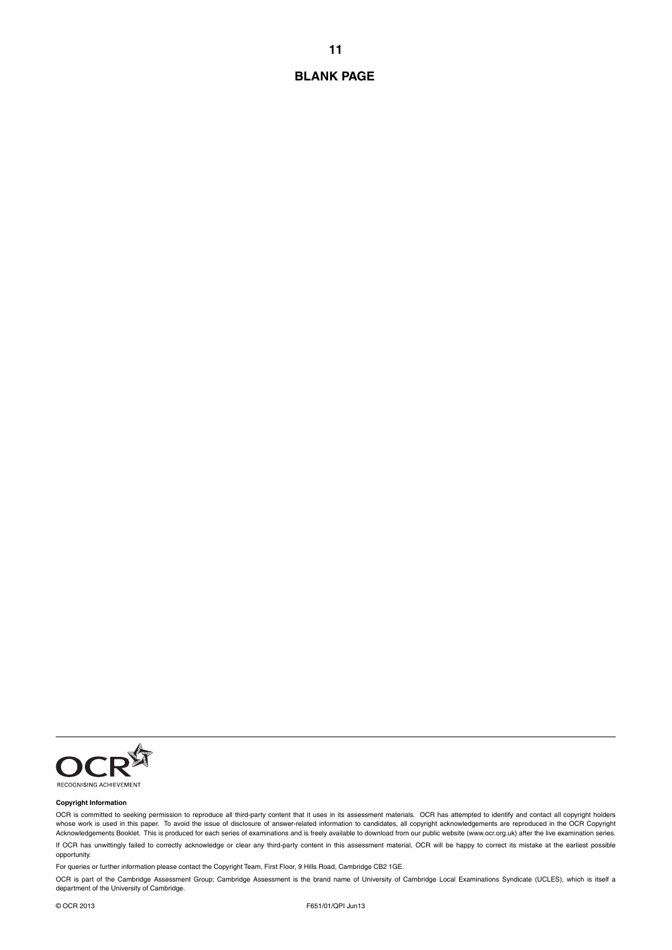#### **BLANK PAGE**

**11**



#### **Copyright Information**

OCR is committed to seeking permission to reproduce all third-party content that it uses in its assessment materials. OCR has attempted to identify and contact all copyright holders whose work is used in this paper. To avoid the issue of disclosure of answer-related information to candidates, all copyright acknowledgements are reproduced in the OCR Copyright Acknowledgements Booklet. This is produced for each series of examinations and is freely available to download from our public website (www.ocr.org.uk) after the live examination series. If OCR has unwittingly failed to correctly acknowledge or clear any third-party content in this assessment material, OCR will be happy to correct its mistake at the earliest possible opportunity.

For queries or further information please contact the Copyright Team, First Floor, 9 Hills Road, Cambridge CB2 1GE.

OCR is part of the Cambridge Assessment Group; Cambridge Assessment is the brand name of University of Cambridge Local Examinations Syndicate (UCLES), which is itself a department of the University of Cambridge.